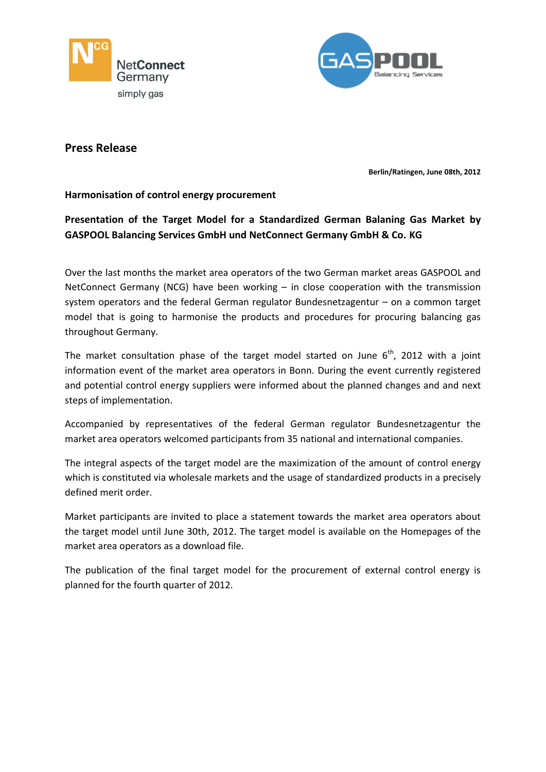



# **Press Release**

**Berlin/Ratingen, June 08th, 2012**

## **Harmonisation of control energy procurement**

**Presentation of the Target Model for a Standardized German Balaning Gas Market by GASPOOL Balancing Services GmbH und NetConnect Germany GmbH & Co. KG**

Over the last months the market area operators of the two German market areas GASPOOL and NetConnect Germany (NCG) have been working – in close cooperation with the transmission system operators and the federal German regulator Bundesnetzagentur – on a common target model that is going to harmonise the products and procedures for procuring balancing gas throughout Germany.

The market consultation phase of the target model started on June  $6<sup>th</sup>$ , 2012 with a joint information event of the market area operators in Bonn. During the event currently registered and potential control energy suppliers were informed about the planned changes and and next steps of implementation.

Accompanied by representatives of the federal German regulator Bundesnetzagentur the market area operators welcomed participants from 35 national and international companies.

The integral aspects of the target model are the maximization of the amount of control energy which is constituted via wholesale markets and the usage of standardized products in a precisely defined merit order.

Market participants are invited to place a statement towards the market area operators about the target model until June 30th, 2012. The target model is available on the Homepages of the market area operators as a download file.

The publication of the final target model for the procurement of external control energy is planned for the fourth quarter of 2012.